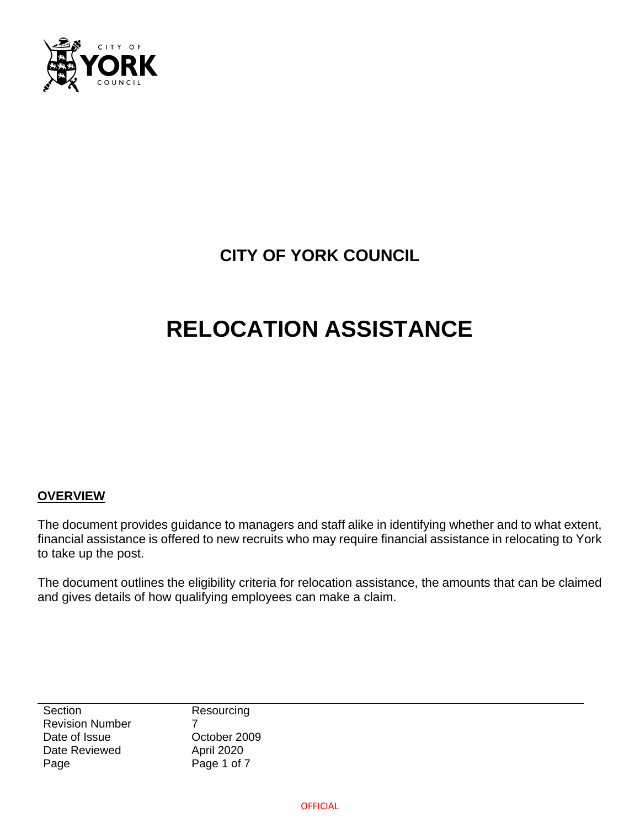

# **CITY OF YORK COUNCIL**

# **RELOCATION ASSISTANCE**

#### **OVERVIEW**

The document provides guidance to managers and staff alike in identifying whether and to what extent, financial assistance is offered to new recruits who may require financial assistance in relocating to York to take up the post.

The document outlines the eligibility criteria for relocation assistance, the amounts that can be claimed and gives details of how qualifying employees can make a claim.

**Section** Revision Number Date of Issue Date Reviewed Page

Resourcing 7 October 2009 April 2020 Page 1 of 7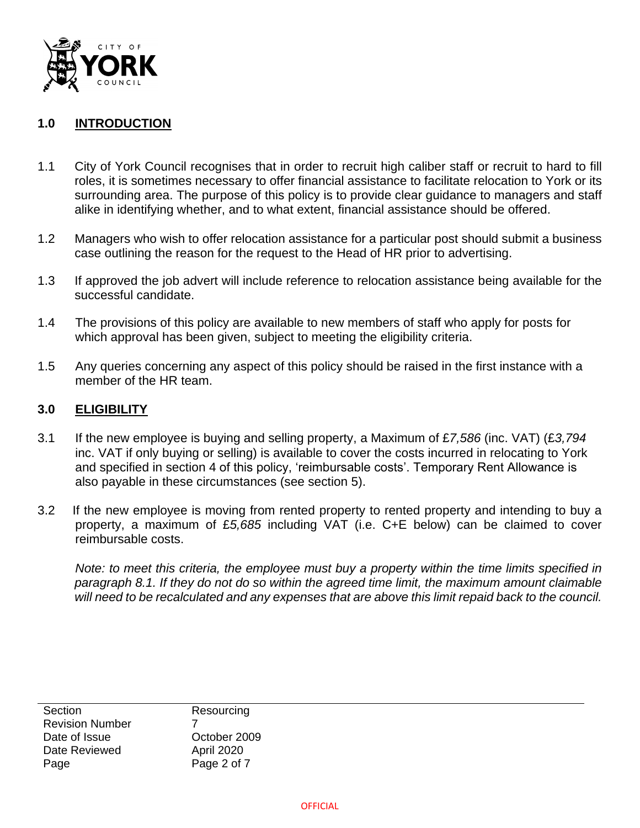

# **1.0 INTRODUCTION**

- 1.1 City of York Council recognises that in order to recruit high caliber staff or recruit to hard to fill roles, it is sometimes necessary to offer financial assistance to facilitate relocation to York or its surrounding area. The purpose of this policy is to provide clear guidance to managers and staff alike in identifying whether, and to what extent, financial assistance should be offered.
- 1.2 Managers who wish to offer relocation assistance for a particular post should submit a business case outlining the reason for the request to the Head of HR prior to advertising.
- 1.3 If approved the job advert will include reference to relocation assistance being available for the successful candidate.
- 1.4 The provisions of this policy are available to new members of staff who apply for posts for which approval has been given, subject to meeting the eligibility criteria.
- 1.5 Any queries concerning any aspect of this policy should be raised in the first instance with a member of the HR team.

#### **3.0 ELIGIBILITY**

- 3.1 If the new employee is buying and selling property, a Maximum of £*7,586* (inc. VAT) (£*3,794* inc. VAT if only buying or selling) is available to cover the costs incurred in relocating to York and specified in section 4 of this policy, 'reimbursable costs'. Temporary Rent Allowance is also payable in these circumstances (see section 5).
- 3.2 If the new employee is moving from rented property to rented property and intending to buy a property, a maximum of £*5,685* including VAT (i.e. C+E below) can be claimed to cover reimbursable costs.

*Note: to meet this criteria, the employee must buy a property within the time limits specified in paragraph 8.1. If they do not do so within the agreed time limit, the maximum amount claimable will need to be recalculated and any expenses that are above this limit repaid back to the council.* 

**Section** Revision Number Date of Issue Date Reviewed Page

**Resourcing** 7 October 2009 April 2020 Page 2 of 7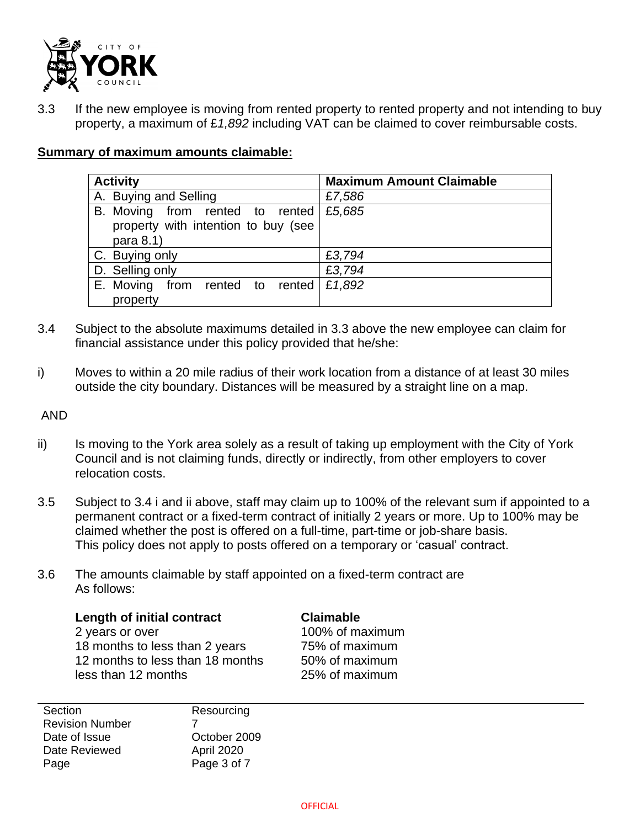

3.3 If the new employee is moving from rented property to rented property and not intending to buy property, a maximum of £*1,892* including VAT can be claimed to cover reimbursable costs.

# **Summary of maximum amounts claimable:**

| <b>Activity</b>                             | <b>Maximum Amount Claimable</b> |
|---------------------------------------------|---------------------------------|
| A. Buying and Selling                       | £7,586                          |
| B. Moving from rented to rented $\,$ £5,685 |                                 |
| property with intention to buy (see         |                                 |
| para 8.1)                                   |                                 |
| C. Buying only                              | £3,794                          |
| D. Selling only                             | £3,794                          |
| E. Moving<br>from rented to rented          | £1,892                          |
| property                                    |                                 |

- 3.4 Subject to the absolute maximums detailed in 3.3 above the new employee can claim for financial assistance under this policy provided that he/she:
- i) Moves to within a 20 mile radius of their work location from a distance of at least 30 miles outside the city boundary. Distances will be measured by a straight line on a map.

AND

- ii) Is moving to the York area solely as a result of taking up employment with the City of York Council and is not claiming funds, directly or indirectly, from other employers to cover relocation costs.
- 3.5 Subject to 3.4 i and ii above, staff may claim up to 100% of the relevant sum if appointed to a permanent contract or a fixed-term contract of initially 2 years or more. Up to 100% may be claimed whether the post is offered on a full-time, part-time or job-share basis. This policy does not apply to posts offered on a temporary or 'casual' contract.
- 3.6 The amounts claimable by staff appointed on a fixed-term contract are As follows:

**Length of initial contract Claimable** 2 years or over 100% of maximum 18 months to less than 2 years 75% of maximum 12 months to less than 18 months 50% of maximum less than 12 months 25% of maximum

Section Revision Number Date of Issue Date Reviewed Page

**Resourcing** 7 October 2009 April 2020 Page 3 of 7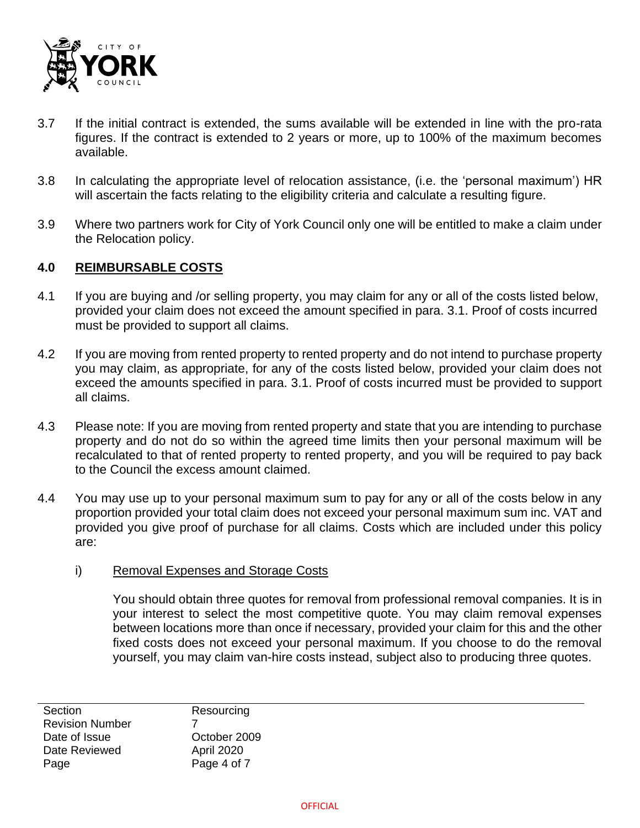

- 3.7 If the initial contract is extended, the sums available will be extended in line with the pro-rata figures. If the contract is extended to 2 years or more, up to 100% of the maximum becomes available.
- 3.8 In calculating the appropriate level of relocation assistance, (i.e. the 'personal maximum') HR will ascertain the facts relating to the eligibility criteria and calculate a resulting figure.
- 3.9 Where two partners work for City of York Council only one will be entitled to make a claim under the Relocation policy.

#### **4.0 REIMBURSABLE COSTS**

- 4.1 If you are buying and /or selling property, you may claim for any or all of the costs listed below, provided your claim does not exceed the amount specified in para. 3.1. Proof of costs incurred must be provided to support all claims.
- 4.2 If you are moving from rented property to rented property and do not intend to purchase property you may claim, as appropriate, for any of the costs listed below, provided your claim does not exceed the amounts specified in para. 3.1. Proof of costs incurred must be provided to support all claims.
- 4.3 Please note: If you are moving from rented property and state that you are intending to purchase property and do not do so within the agreed time limits then your personal maximum will be recalculated to that of rented property to rented property, and you will be required to pay back to the Council the excess amount claimed.
- 4.4 You may use up to your personal maximum sum to pay for any or all of the costs below in any proportion provided your total claim does not exceed your personal maximum sum inc. VAT and provided you give proof of purchase for all claims. Costs which are included under this policy are:
	- i) Removal Expenses and Storage Costs

You should obtain three quotes for removal from professional removal companies. It is in your interest to select the most competitive quote. You may claim removal expenses between locations more than once if necessary, provided your claim for this and the other fixed costs does not exceed your personal maximum. If you choose to do the removal yourself, you may claim van-hire costs instead, subject also to producing three quotes.

**Section** Revision Number Date of Issue Date Reviewed Page

**Resourcing** 7 October 2009 April 2020 Page 4 of 7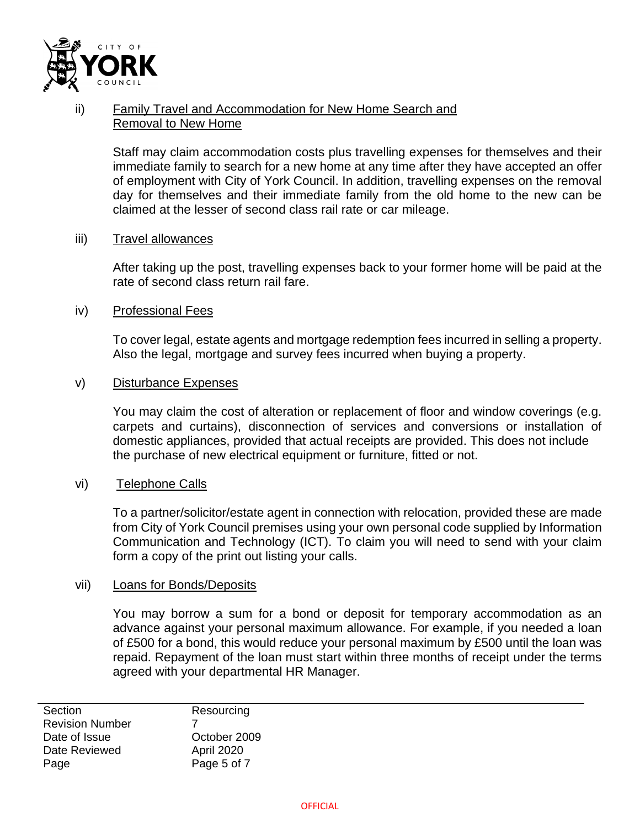

# ii) Family Travel and Accommodation for New Home Search and Removal to New Home

Staff may claim accommodation costs plus travelling expenses for themselves and their immediate family to search for a new home at any time after they have accepted an offer of employment with City of York Council. In addition, travelling expenses on the removal day for themselves and their immediate family from the old home to the new can be claimed at the lesser of second class rail rate or car mileage.

#### iii) Travel allowances

After taking up the post, travelling expenses back to your former home will be paid at the rate of second class return rail fare.

#### iv) Professional Fees

To cover legal, estate agents and mortgage redemption fees incurred in selling a property. Also the legal, mortgage and survey fees incurred when buying a property.

#### v) Disturbance Expenses

You may claim the cost of alteration or replacement of floor and window coverings (e.g. carpets and curtains), disconnection of services and conversions or installation of domestic appliances, provided that actual receipts are provided. This does not include the purchase of new electrical equipment or furniture, fitted or not.

#### vi) Telephone Calls

To a partner/solicitor/estate agent in connection with relocation, provided these are made from City of York Council premises using your own personal code supplied by Information Communication and Technology (ICT). To claim you will need to send with your claim form a copy of the print out listing your calls.

#### vii) Loans for Bonds/Deposits

You may borrow a sum for a bond or deposit for temporary accommodation as an advance against your personal maximum allowance. For example, if you needed a loan of £500 for a bond, this would reduce your personal maximum by £500 until the loan was repaid. Repayment of the loan must start within three months of receipt under the terms agreed with your departmental HR Manager.

**Section** Revision Number Date of Issue Date Reviewed Page

Resourcing 7 October 2009 April 2020 Page 5 of 7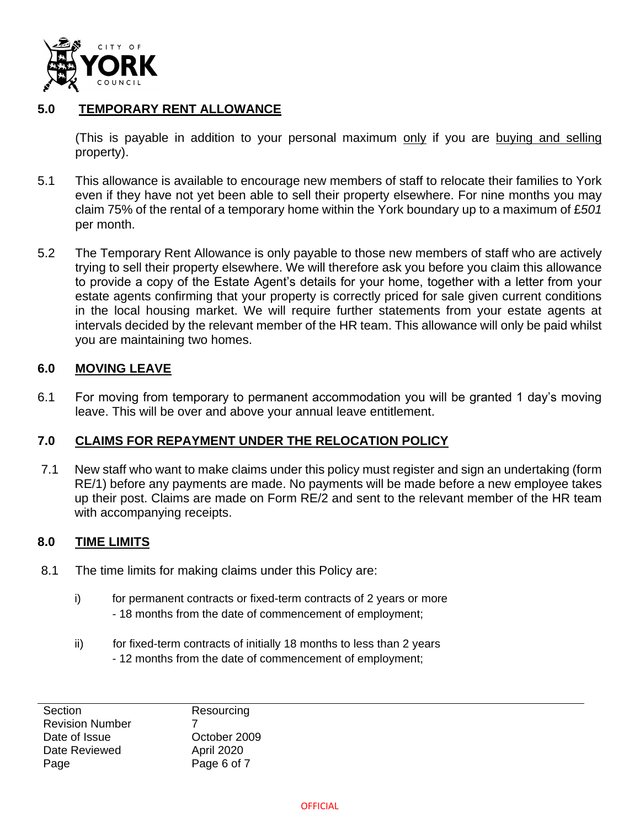

## **5.0 TEMPORARY RENT ALLOWANCE**

(This is payable in addition to your personal maximum only if you are buying and selling property).

- 5.1 This allowance is available to encourage new members of staff to relocate their families to York even if they have not yet been able to sell their property elsewhere. For nine months you may claim 75% of the rental of a temporary home within the York boundary up to a maximum of £*501* per month.
- 5.2 The Temporary Rent Allowance is only payable to those new members of staff who are actively trying to sell their property elsewhere. We will therefore ask you before you claim this allowance to provide a copy of the Estate Agent's details for your home, together with a letter from your estate agents confirming that your property is correctly priced for sale given current conditions in the local housing market. We will require further statements from your estate agents at intervals decided by the relevant member of the HR team. This allowance will only be paid whilst you are maintaining two homes.

#### **6.0 MOVING LEAVE**

6.1 For moving from temporary to permanent accommodation you will be granted 1 day's moving leave. This will be over and above your annual leave entitlement.

#### **7.0 CLAIMS FOR REPAYMENT UNDER THE RELOCATION POLICY**

7.1 New staff who want to make claims under this policy must register and sign an undertaking (form RE/1) before any payments are made. No payments will be made before a new employee takes up their post. Claims are made on Form RE/2 and sent to the relevant member of the HR team with accompanying receipts.

#### **8.0 TIME LIMITS**

- 8.1 The time limits for making claims under this Policy are:
	- i) for permanent contracts or fixed-term contracts of 2 years or more - 18 months from the date of commencement of employment;
	- ii) for fixed-term contracts of initially 18 months to less than 2 years - 12 months from the date of commencement of employment;

**Section** Revision Number Date of Issue Date Reviewed Page

**Resourcing** 7 October 2009 April 2020 Page 6 of 7